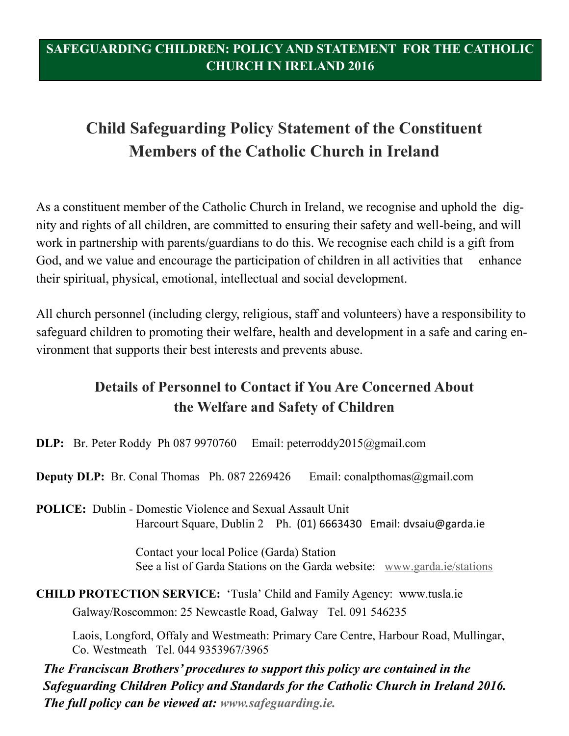# **Child Safeguarding Policy Statement of the Constituent Members of the Catholic Church in Ireland**

As a constituent member of the Catholic Church in Ireland, we recognise and uphold the dignity and rights of all children, are committed to ensuring their safety and well-being, and will work in partnership with parents/guardians to do this. We recognise each child is a gift from God, and we value and encourage the participation of children in all activities that enhance their spiritual, physical, emotional, intellectual and social development.

All church personnel (including clergy, religious, staff and volunteers) have a responsibility to safeguard children to promoting their welfare, health and development in a safe and caring environment that supports their best interests and prevents abuse.

# **Details of Personnel to Contact if You Are Concerned About the Welfare and Safety of Children**

**DLP:** Br. Peter Roddy Ph 087 9970760 Email: peterroddy2015@gmail.com

**Deputy DLP:** Br. Conal Thomas Ph. 087 2269426 Email: [conalpthomas@](mailto:conalpthomas@eircom.net)gmail.com

**POLICE:** Dublin - Domestic Violence and Sexual Assault Unit Harcourt Square, Dublin 2 Ph. (01) 6663430 Email: [dvsaiu@garda.ie](mailto:dvsaiu@garda.ie) 

> Contact your local Police (Garda) Station See a list of Garda Stations on the Garda website: [www.garda.ie/stations](http://www.garda.ie/stations)

**CHILD PROTECTION SERVICE:** 'Tusla' Child and Family Agency: www.tusla.ie Galway/Roscommon: 25 Newcastle Road, Galway Tel. 091 546235

 Laois, Longford, Offaly and Westmeath: Primary Care Centre, Harbour Road, Mullingar, Co. Westmeath Tel. 044 9353967/3965

*The Franciscan Brothers' procedures to support this policy are contained in the Safeguarding Children Policy and Standards for the Catholic Church in Ireland 2016. The full policy can be viewed at: www.safeguarding.ie.*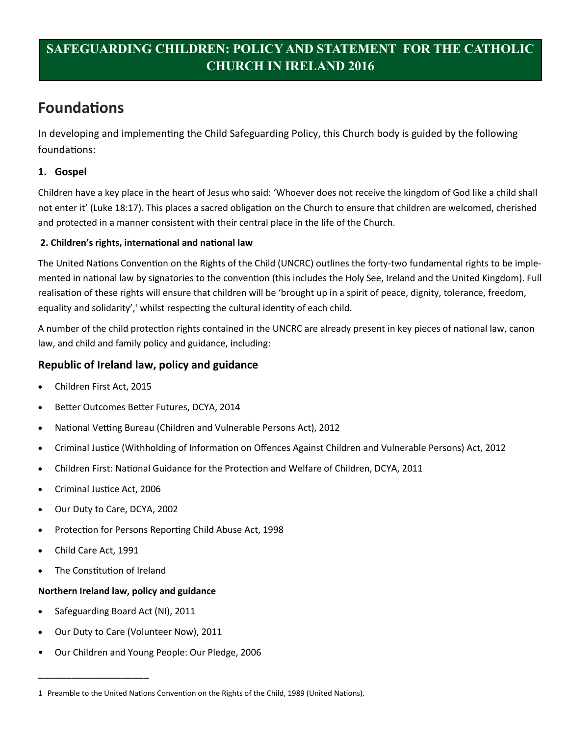# **Foundations**

In developing and implementing the Child Safeguarding Policy, this Church body is guided by the following foundations:

### **1. Gospel**

Children have a key place in the heart of Jesus who said: 'Whoever does not receive the kingdom of God like a child shall not enter it' (Luke 18:17). This places a sacred obligation on the Church to ensure that children are welcomed, cherished and protected in a manner consistent with their central place in the life of the Church.

#### **2. Children's rights, international and national law**

The United Nations Convention on the Rights of the Child (UNCRC) outlines the forty-two fundamental rights to be implemented in national law by signatories to the convention (this includes the Holy See, Ireland and the United Kingdom). Full realisation of these rights will ensure that children will be 'brought up in a spirit of peace, dignity, tolerance, freedom, equality and solidarity', $1$  whilst respecting the cultural identity of each child.

A number of the child protection rights contained in the UNCRC are already present in key pieces of national law, canon law, and child and family policy and guidance, including:

### **Republic of Ireland law, policy and guidance**

- Children First Act, 2015
- Better Outcomes Better Futures, DCYA, 2014
- National Vetting Bureau (Children and Vulnerable Persons Act), 2012
- Criminal Justice (Withholding of Information on Offences Against Children and Vulnerable Persons) Act, 2012
- Children First: National Guidance for the Protection and Welfare of Children, DCYA, 2011
- Criminal Justice Act, 2006
- Our Duty to Care, DCYA, 2002
- Protection for Persons Reporting Child Abuse Act, 1998
- Child Care Act, 1991
- The Constitution of Ireland

\_\_\_\_\_\_\_\_\_\_\_\_\_\_\_\_\_\_\_\_

#### **Northern Ireland law, policy and guidance**

- Safeguarding Board Act (NI), 2011
- Our Duty to Care (Volunteer Now), 2011
- Our Children and Young People: Our Pledge, 2006

<sup>1</sup> Preamble to the United Nations Convention on the Rights of the Child, 1989 (United Nations).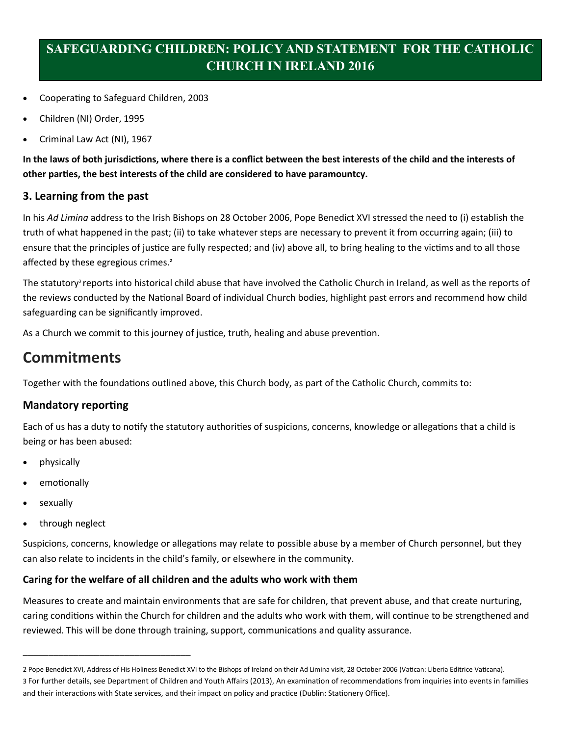- Cooperating to Safeguard Children, 2003
- Children (NI) Order, 1995
- Criminal Law Act (NI), 1967

**In the laws of both jurisdictions, where there is a conflict between the best interests of the child and the interests of other parties, the best interests of the child are considered to have paramountcy.** 

#### **3. Learning from the past**

In his *Ad Limina* address to the Irish Bishops on 28 October 2006, Pope Benedict XVI stressed the need to (i) establish the truth of what happened in the past; (ii) to take whatever steps are necessary to prevent it from occurring again; (iii) to ensure that the principles of justice are fully respected; and (iv) above all, to bring healing to the victims and to all those affected by these egregious crimes.**<sup>2</sup>**

The statutory<sup>3</sup> reports into historical child abuse that have involved the Catholic Church in Ireland, as well as the reports of the reviews conducted by the National Board of individual Church bodies, highlight past errors and recommend how child safeguarding can be significantly improved.

As a Church we commit to this journey of justice, truth, healing and abuse prevention.

## **Commitments**

Together with the foundations outlined above, this Church body, as part of the Catholic Church, commits to:

### **Mandatory reporting**

Each of us has a duty to notify the statutory authorities of suspicions, concerns, knowledge or allegations that a child is being or has been abused:

- physically
- emotionally
- sexually
- through neglect

\_\_\_\_\_\_\_\_\_\_\_\_\_\_\_\_\_\_\_\_\_\_\_\_\_\_\_\_\_\_\_\_\_

Suspicions, concerns, knowledge or allegations may relate to possible abuse by a member of Church personnel, but they can also relate to incidents in the child's family, or elsewhere in the community.

#### **Caring for the welfare of all children and the adults who work with them**

Measures to create and maintain environments that are safe for children, that prevent abuse, and that create nurturing, caring conditions within the Church for children and the adults who work with them, will continue to be strengthened and reviewed. This will be done through training, support, communications and quality assurance.

<sup>2</sup> Pope Benedict XVI, Address of His Holiness Benedict XVI to the Bishops of Ireland on their Ad Limina visit, 28 October 2006 (Vatican: Liberia Editrice Vaticana). 3 For further details, see Department of Children and Youth Affairs (2013), An examination of recommendations from inquiries into events in families and their interactions with State services, and their impact on policy and practice (Dublin: Stationery Office).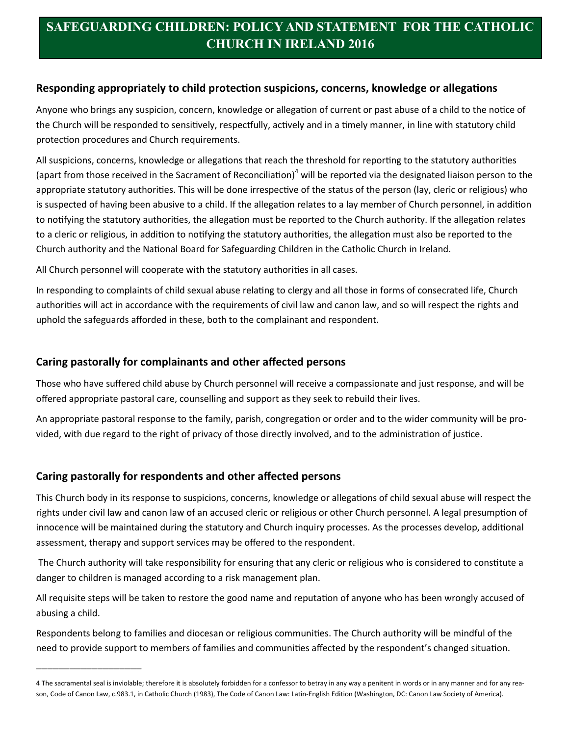#### **Responding appropriately to child protection suspicions, concerns, knowledge or allegations**

Anyone who brings any suspicion, concern, knowledge or allegation of current or past abuse of a child to the notice of the Church will be responded to sensitively, respectfully, actively and in a timely manner, in line with statutory child protection procedures and Church requirements.

All suspicions, concerns, knowledge or allegations that reach the threshold for reporting to the statutory authorities (apart from those received in the Sacrament of Reconciliation)<sup>4</sup> will be reported via the designated liaison person to the appropriate statutory authorities. This will be done irrespective of the status of the person (lay, cleric or religious) who is suspected of having been abusive to a child. If the allegation relates to a lay member of Church personnel, in addition to notifying the statutory authorities, the allegation must be reported to the Church authority. If the allegation relates to a cleric or religious, in addition to notifying the statutory authorities, the allegation must also be reported to the Church authority and the National Board for Safeguarding Children in the Catholic Church in Ireland.

All Church personnel will cooperate with the statutory authorities in all cases.

In responding to complaints of child sexual abuse relating to clergy and all those in forms of consecrated life, Church authorities will act in accordance with the requirements of civil law and canon law, and so will respect the rights and uphold the safeguards afforded in these, both to the complainant and respondent.

### **Caring pastorally for complainants and other affected persons**

Those who have suffered child abuse by Church personnel will receive a compassionate and just response, and will be offered appropriate pastoral care, counselling and support as they seek to rebuild their lives.

An appropriate pastoral response to the family, parish, congregation or order and to the wider community will be provided, with due regard to the right of privacy of those directly involved, and to the administration of justice.

### **Caring pastorally for respondents and other affected persons**

\_\_\_\_\_\_\_\_\_\_\_\_\_\_\_\_\_\_\_

This Church body in its response to suspicions, concerns, knowledge or allegations of child sexual abuse will respect the rights under civil law and canon law of an accused cleric or religious or other Church personnel. A legal presumption of innocence will be maintained during the statutory and Church inquiry processes. As the processes develop, additional assessment, therapy and support services may be offered to the respondent.

 The Church authority will take responsibility for ensuring that any cleric or religious who is considered to constitute a danger to children is managed according to a risk management plan.

All requisite steps will be taken to restore the good name and reputation of anyone who has been wrongly accused of abusing a child.

Respondents belong to families and diocesan or religious communities. The Church authority will be mindful of the need to provide support to members of families and communities affected by the respondent's changed situation.

<sup>4</sup> The sacramental seal is inviolable; therefore it is absolutely forbidden for a confessor to betray in any way a penitent in words or in any manner and for any reason, Code of Canon Law, c.983.1, in Catholic Church (1983), The Code of Canon Law: Latin-English Edition (Washington, DC: Canon Law Society of America).